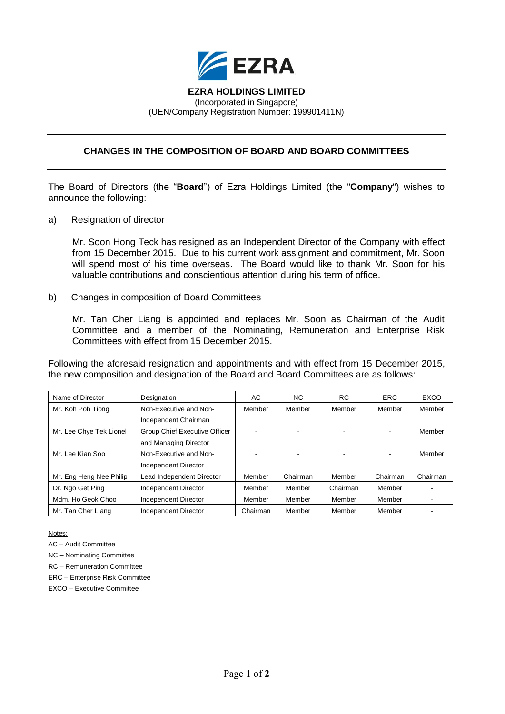

## **EZRA HOLDINGS LIMITED** (Incorporated in Singapore) (UEN/Company Registration Number: 199901411N)

## **CHANGES IN THE COMPOSITION OF BOARD AND BOARD COMMITTEES**

The Board of Directors (the "**Board**") of Ezra Holdings Limited (the "**Company**") wishes to announce the following:

a) Resignation of director

Mr. Soon Hong Teck has resigned as an Independent Director of the Company with effect from 15 December 2015. Due to his current work assignment and commitment, Mr. Soon will spend most of his time overseas. The Board would like to thank Mr. Soon for his valuable contributions and conscientious attention during his term of office.

b) Changes in composition of Board Committees

Mr. Tan Cher Liang is appointed and replaces Mr. Soon as Chairman of the Audit Committee and a member of the Nominating, Remuneration and Enterprise Risk Committees with effect from 15 December 2015.

Following the aforesaid resignation and appointments and with effect from 15 December 2015, the new composition and designation of the Board and Board Committees are as follows:

| Name of Director        | Designation                          | <u>AC</u>      | <u>NC</u> | RC       | ERC      | EXCO     |
|-------------------------|--------------------------------------|----------------|-----------|----------|----------|----------|
| Mr. Koh Poh Tiong       | Non-Executive and Non-               | Member         | Member    | Member   | Member   | Member   |
|                         | Independent Chairman                 |                |           |          |          |          |
| Mr. Lee Chye Tek Lionel | <b>Group Chief Executive Officer</b> | $\blacksquare$ |           |          |          | Member   |
|                         | and Managing Director                |                |           |          |          |          |
| Mr. Lee Kian Soo        | Non-Executive and Non-               | $\blacksquare$ |           |          |          | Member   |
|                         | Independent Director                 |                |           |          |          |          |
| Mr. Eng Heng Nee Philip | Lead Independent Director            | Member         | Chairman  | Member   | Chairman | Chairman |
| Dr. Ngo Get Ping        | Independent Director                 | Member         | Member    | Chairman | Member   |          |
| Mdm. Ho Geok Choo       | Independent Director                 | Member         | Member    | Member   | Member   |          |
| Mr. Tan Cher Liang      | Independent Director                 | Chairman       | Member    | Member   | Member   |          |

Notes:

AC – Audit Committee

NC – Nominating Committee

RC – Remuneration Committee

ERC – Enterprise Risk Committee

EXCO – Executive Committee